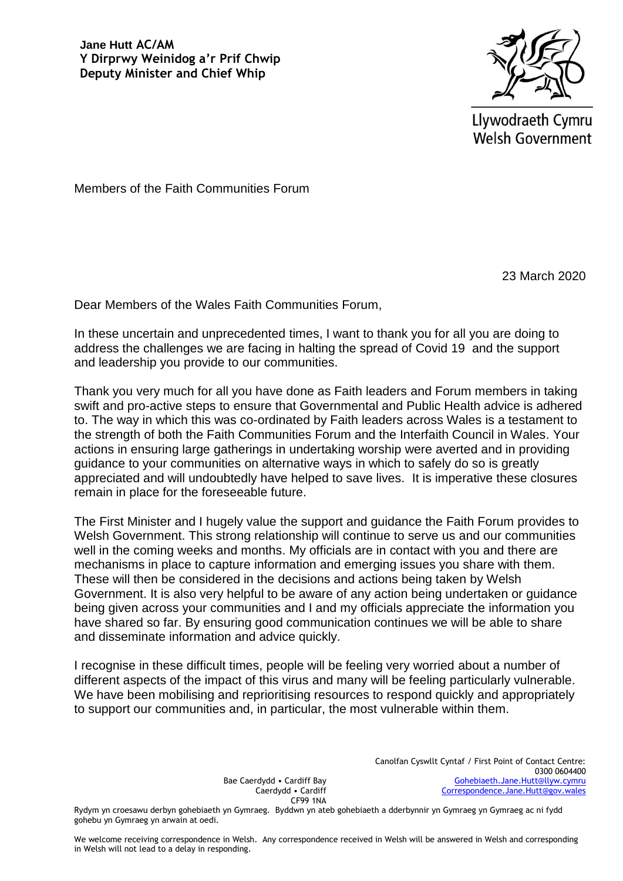**Jane Hutt AC/AM Y Dirprwy Weinidog a'r Prif Chwip Deputy Minister and Chief Whip**



Llywodraeth Cymru **Welsh Government** 

Members of the Faith Communities Forum

23 March 2020

Dear Members of the Wales Faith Communities Forum,

In these uncertain and unprecedented times, I want to thank you for all you are doing to address the challenges we are facing in halting the spread of Covid 19 and the support and leadership you provide to our communities.

Thank you very much for all you have done as Faith leaders and Forum members in taking swift and pro-active steps to ensure that Governmental and Public Health advice is adhered to. The way in which this was co-ordinated by Faith leaders across Wales is a testament to the strength of both the Faith Communities Forum and the Interfaith Council in Wales. Your actions in ensuring large gatherings in undertaking worship were averted and in providing guidance to your communities on alternative ways in which to safely do so is greatly appreciated and will undoubtedly have helped to save lives. It is imperative these closures remain in place for the foreseeable future.

The First Minister and I hugely value the support and guidance the Faith Forum provides to Welsh Government. This strong relationship will continue to serve us and our communities well in the coming weeks and months. My officials are in contact with you and there are mechanisms in place to capture information and emerging issues you share with them. These will then be considered in the decisions and actions being taken by Welsh Government. It is also very helpful to be aware of any action being undertaken or guidance being given across your communities and I and my officials appreciate the information you have shared so far. By ensuring good communication continues we will be able to share and disseminate information and advice quickly.

I recognise in these difficult times, people will be feeling very worried about a number of different aspects of the impact of this virus and many will be feeling particularly vulnerable. We have been mobilising and reprioritising resources to respond quickly and appropriately to support our communities and, in particular, the most vulnerable within them.

> Bae Caerdydd • Cardiff Bay Caerdydd • Cardiff CF99 1NA

Canolfan Cyswllt Cyntaf / First Point of Contact Centre: 0300 0604400 [Gohebiaeth.Jane.Hutt@llyw.cymru](mailto:Gohebiaeth.Jane.Hutt@llyw.cymru) [Correspondence.Jane.Hutt@gov.wales](mailto:Correspondence.Jane.Hutt@gov.wales)

Rydym yn croesawu derbyn gohebiaeth yn Gymraeg. Byddwn yn ateb gohebiaeth a dderbynnir yn Gymraeg yn Gymraeg ac ni fydd gohebu yn Gymraeg yn arwain at oedi.

We welcome receiving correspondence in Welsh. Any correspondence received in Welsh will be answered in Welsh and corresponding in Welsh will not lead to a delay in responding.